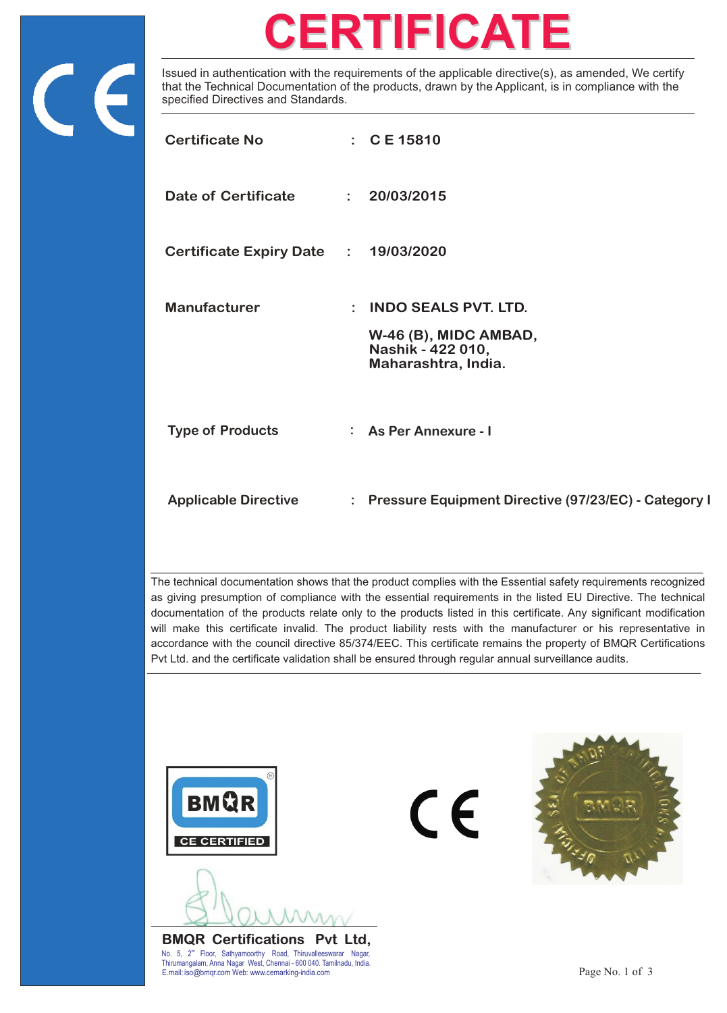

## **CERTIFICATE**

Issued in authentication with the requirements of the applicable directive(s), as amended, We certify that the Technical Documentation of the products, drawn by the Applicant, is in compliance with the specified Directives and Standards.

| <b>Certificate No</b>                |                | $\therefore$ C E 15810                                                                           |
|--------------------------------------|----------------|--------------------------------------------------------------------------------------------------|
| Date of Certificate                  |                | : 20/03/2015                                                                                     |
| Certificate Expiry Date : 19/03/2020 |                |                                                                                                  |
| <b>Manufacturer</b>                  | $\ddot{\cdot}$ | <b>INDO SEALS PVT. LTD.</b><br>W-46 (B), MIDC AMBAD,<br>Nashik - 422 010,<br>Maharashtra, India. |
| <b>Type of Products</b>              |                | : As Per Annexure - I                                                                            |
| <b>Applicable Directive</b>          |                | : Pressure Equipment Directive (97/23/EC) - Category I                                           |

The technical documentation shows that the product complies with the Essential safety requirements recognized as giving presumption of compliance with the essential requirements in the listed EU Directive. The technical documentation of the products relate only to the products listed in this certificate. Any significant modification will make this certificate invalid. The product liability rests with the manufacturer or his representative in accordance with the council directive 85/374/EEC. This certificate remains the property of BMQR Certifications Pvt Ltd. and the certificate validation shall be ensured through regular annual surveillance audits.



No. 5, 2<sup>nd</sup> Floor, Sathyamoorthy Road, Thiruvalleeswarar Nagar,<br>Thirumongalam Anne Nagar West Channai, 600,040 Tamilaedu India. E.mail: iso@bmqr.com Web: www.cemarking-india.com example of the state of the state of the state of the state of the state of the state of the state of the state of the state of the state of the state of the state of the s Thirumangalam, Anna Nagar West, Chennai - 600 040. Tamilnadu, India.

 $C\epsilon$ 

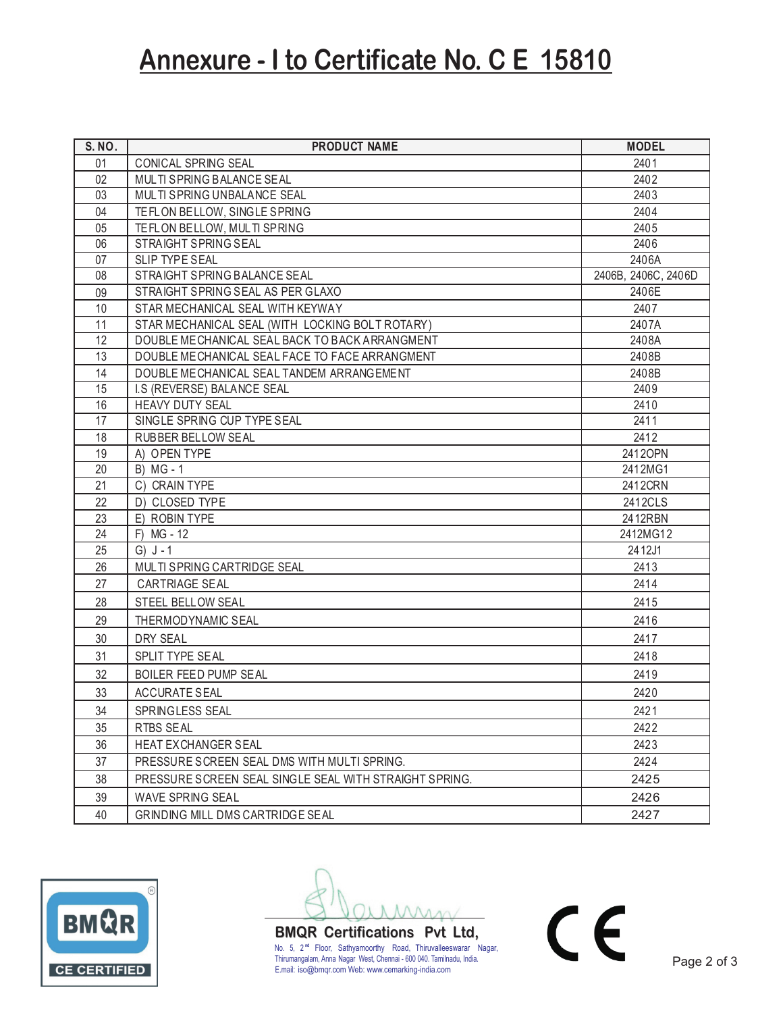## **Annexure - I to Certificate No. C E 15810**

| S. NO. | <b>PRODUCT NAME</b>                                    | <b>MODEL</b>        |
|--------|--------------------------------------------------------|---------------------|
| 01     | CONICAL SPRING SEAL                                    | 2401                |
| 02     | <b>MULTI SPRING BALANCE SEAL</b>                       | 2402                |
| 03     | MULTI SPRING UNBALANCE SEAL                            | 2403                |
| 04     | TEFLON BELLOW, SINGLE SPRING                           | 2404                |
| 05     | TEFLON BELLOW, MULTI SPRING                            | 2405                |
| 06     | STRAIGHT SPRING SEAL                                   | 2406                |
| 07     | <b>SLIP TYPE SEAL</b>                                  | 2406A               |
| 08     | STRAIGHT SPRING BALANCE SEAL                           | 2406B, 2406C, 2406D |
| 09     | STRAIGHT SPRING SEAL AS PER GLAXO                      | 2406E               |
| 10     | STAR MECHANICAL SEAL WITH KEYWAY                       | 2407                |
| 11     | STAR MECHANICAL SEAL (WITH LOCKING BOLT ROTARY)        | 2407A               |
| 12     | DOUBLE MECHANICAL SEAL BACK TO BACK ARRANGMENT         | 2408A               |
| 13     | DOUBLE MECHANICAL SEAL FACE TO FACE ARRANGMENT         | 2408B               |
| 14     | DOUBLE MECHANICAL SEAL TANDEM ARRANGEMENT              | 2408B               |
| 15     | I.S (REVERSE) BALANCE SEAL                             | 2409                |
| 16     | <b>HEAVY DUTY SEAL</b>                                 | 2410                |
| 17     | SINGLE SPRING CUP TYPE SEAL                            | 2411                |
| 18     | <b>RUBBER BELLOW SEAL</b>                              | 2412                |
| 19     | A) OPEN TYPE                                           | 2412OPN             |
| 20     | B) MG - 1                                              | 2412MG1             |
| 21     | C) CRAIN TYPE                                          | 2412CRN             |
| 22     | D) CLOSED TYPE                                         | 2412CLS             |
| 23     | E) ROBIN TYPE                                          | 2412RBN             |
| 24     | F) MG - 12                                             | 2412MG12            |
| 25     | $G) J - 1$                                             | 2412J1              |
| 26     | MULTI SPRING CARTRIDGE SEAL                            | 2413                |
| 27     | <b>CARTRIAGE SEAL</b>                                  | 2414                |
| 28     | STEEL BELLOW SEAL                                      | 2415                |
| 29     | THERMODYNAMIC SEAL                                     | 2416                |
| 30     | DRY SEAL                                               | 2417                |
| 31     | SPLIT TYPE SEAL                                        | 2418                |
| 32     | BOILER FEED PUMP SEAL                                  | 2419                |
| 33     | <b>ACCURATE SEAL</b>                                   | 2420                |
| 34     | SPRINGLESS SEAL                                        | 2421                |
| 35     | <b>RTBS SEAL</b>                                       | 2422                |
| 36     | <b>HEAT EXCHANGER SEAL</b>                             | 2423                |
| 37     | PRESSURE SCREEN SEAL DMS WITH MULTI SPRING.            | 2424                |
| 38     | PRESSURE SCREEN SEAL SINGLE SEAL WITH STRAIGHT SPRING. | 2425                |
| 39     | WAVE SPRING SEAL                                       | 2426                |
| 40     | GRINDING MILL DMS CARTRIDGE SEAL                       | 2427                |
|        |                                                        |                     |



No. 5, 2<sup>nd</sup> Floor, Sathyamoorthy Road, Thiruvalleeswarar Nagar,<br>Thirumangalam, Anna Nagar West, Chennai - 600 040. Tamilnadu, India. **BMQR Certifications Pvt Ltd,** E.mail: iso@bmqr.com Web: www.cemarking-india.com

 $C \in$